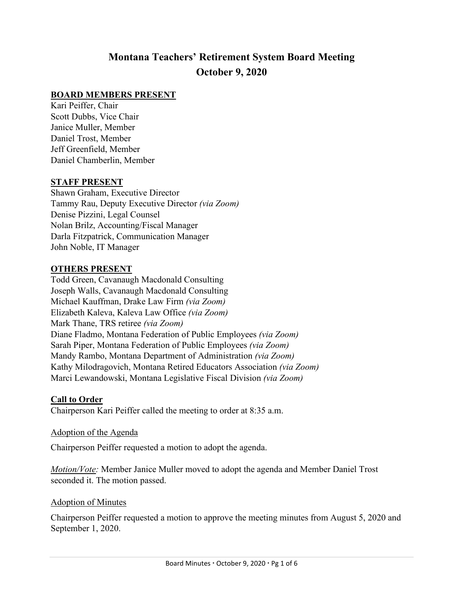# **Montana Teachers' Retirement System Board Meeting October 9, 2020**

# **BOARD MEMBERS PRESENT**

Kari Peiffer, Chair Scott Dubbs, Vice Chair Janice Muller, Member Daniel Trost, Member Jeff Greenfield, Member Daniel Chamberlin, Member

## **STAFF PRESENT**

Shawn Graham, Executive Director Tammy Rau, Deputy Executive Director *(via Zoom)* Denise Pizzini, Legal Counsel Nolan Brilz, Accounting/Fiscal Manager Darla Fitzpatrick, Communication Manager John Noble, IT Manager

#### **OTHERS PRESENT**

Todd Green, Cavanaugh Macdonald Consulting Joseph Walls, Cavanaugh Macdonald Consulting Michael Kauffman, Drake Law Firm *(via Zoom)* Elizabeth Kaleva, Kaleva Law Office *(via Zoom)* Mark Thane, TRS retiree *(via Zoom)* Diane Fladmo, Montana Federation of Public Employees *(via Zoom)* Sarah Piper, Montana Federation of Public Employees *(via Zoom)* Mandy Rambo, Montana Department of Administration *(via Zoom)* Kathy Milodragovich, Montana Retired Educators Association *(via Zoom)* Marci Lewandowski, Montana Legislative Fiscal Division *(via Zoom)*

## **Call to Order**

Chairperson Kari Peiffer called the meeting to order at 8:35 a.m.

Adoption of the Agenda

Chairperson Peiffer requested a motion to adopt the agenda.

*Motion/Vote:* Member Janice Muller moved to adopt the agenda and Member Daniel Trost seconded it. The motion passed.

## Adoption of Minutes

Chairperson Peiffer requested a motion to approve the meeting minutes from August 5, 2020 and September 1, 2020.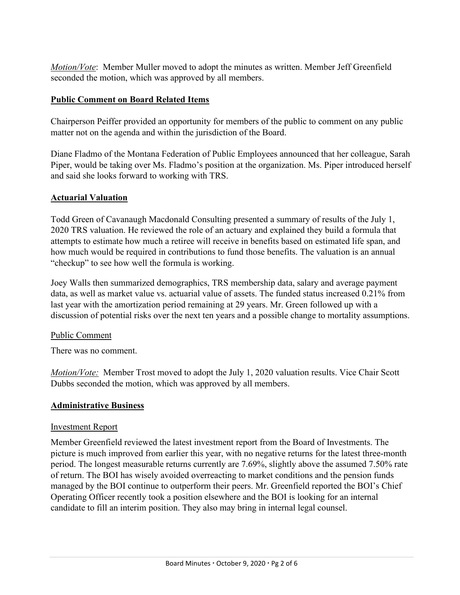*Motion/Vote*: Member Muller moved to adopt the minutes as written. Member Jeff Greenfield seconded the motion, which was approved by all members.

## **Public Comment on Board Related Items**

Chairperson Peiffer provided an opportunity for members of the public to comment on any public matter not on the agenda and within the jurisdiction of the Board.

Diane Fladmo of the Montana Federation of Public Employees announced that her colleague, Sarah Piper, would be taking over Ms. Fladmo's position at the organization. Ms. Piper introduced herself and said she looks forward to working with TRS.

# **Actuarial Valuation**

Todd Green of Cavanaugh Macdonald Consulting presented a summary of results of the July 1, 2020 TRS valuation. He reviewed the role of an actuary and explained they build a formula that attempts to estimate how much a retiree will receive in benefits based on estimated life span, and how much would be required in contributions to fund those benefits. The valuation is an annual "checkup" to see how well the formula is working.

Joey Walls then summarized demographics, TRS membership data, salary and average payment data, as well as market value vs. actuarial value of assets. The funded status increased 0.21% from last year with the amortization period remaining at 29 years. Mr. Green followed up with a discussion of potential risks over the next ten years and a possible change to mortality assumptions.

## Public Comment

There was no comment.

*Motion/Vote:* Member Trost moved to adopt the July 1, 2020 valuation results. Vice Chair Scott Dubbs seconded the motion, which was approved by all members.

# **Administrative Business**

## Investment Report

Member Greenfield reviewed the latest investment report from the Board of Investments. The picture is much improved from earlier this year, with no negative returns for the latest three-month period. The longest measurable returns currently are 7.69%, slightly above the assumed 7.50% rate of return. The BOI has wisely avoided overreacting to market conditions and the pension funds managed by the BOI continue to outperform their peers. Mr. Greenfield reported the BOI's Chief Operating Officer recently took a position elsewhere and the BOI is looking for an internal candidate to fill an interim position. They also may bring in internal legal counsel.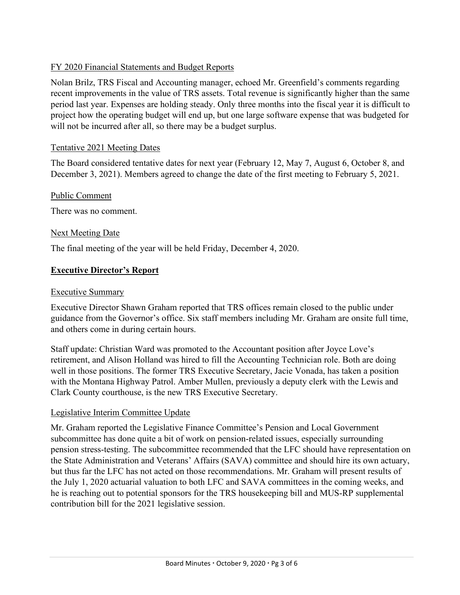## FY 2020 Financial Statements and Budget Reports

Nolan Brilz, TRS Fiscal and Accounting manager, echoed Mr. Greenfield's comments regarding recent improvements in the value of TRS assets. Total revenue is significantly higher than the same period last year. Expenses are holding steady. Only three months into the fiscal year it is difficult to project how the operating budget will end up, but one large software expense that was budgeted for will not be incurred after all, so there may be a budget surplus.

## Tentative 2021 Meeting Dates

The Board considered tentative dates for next year (February 12, May 7, August 6, October 8, and December 3, 2021). Members agreed to change the date of the first meeting to February 5, 2021.

## Public Comment

There was no comment.

## Next Meeting Date

The final meeting of the year will be held Friday, December 4, 2020.

## **Executive Director's Report**

#### Executive Summary

Executive Director Shawn Graham reported that TRS offices remain closed to the public under guidance from the Governor's office. Six staff members including Mr. Graham are onsite full time, and others come in during certain hours.

Staff update: Christian Ward was promoted to the Accountant position after Joyce Love's retirement, and Alison Holland was hired to fill the Accounting Technician role. Both are doing well in those positions. The former TRS Executive Secretary, Jacie Vonada, has taken a position with the Montana Highway Patrol. Amber Mullen, previously a deputy clerk with the Lewis and Clark County courthouse, is the new TRS Executive Secretary.

## Legislative Interim Committee Update

Mr. Graham reported the Legislative Finance Committee's Pension and Local Government subcommittee has done quite a bit of work on pension-related issues, especially surrounding pension stress-testing. The subcommittee recommended that the LFC should have representation on the State Administration and Veterans' Affairs (SAVA) committee and should hire its own actuary, but thus far the LFC has not acted on those recommendations. Mr. Graham will present results of the July 1, 2020 actuarial valuation to both LFC and SAVA committees in the coming weeks, and he is reaching out to potential sponsors for the TRS housekeeping bill and MUS-RP supplemental contribution bill for the 2021 legislative session.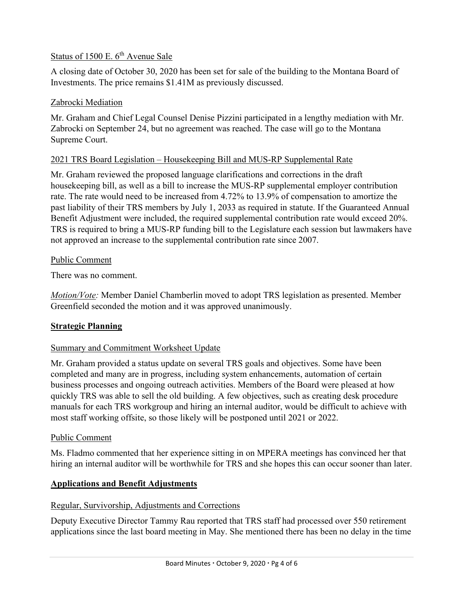# Status of 1500 E. 6<sup>th</sup> Avenue Sale

A closing date of October 30, 2020 has been set for sale of the building to the Montana Board of Investments. The price remains \$1.41M as previously discussed.

# Zabrocki Mediation

Mr. Graham and Chief Legal Counsel Denise Pizzini participated in a lengthy mediation with Mr. Zabrocki on September 24, but no agreement was reached. The case will go to the Montana Supreme Court.

# 2021 TRS Board Legislation – Housekeeping Bill and MUS-RP Supplemental Rate

Mr. Graham reviewed the proposed language clarifications and corrections in the draft housekeeping bill, as well as a bill to increase the MUS-RP supplemental employer contribution rate. The rate would need to be increased from 4.72% to 13.9% of compensation to amortize the past liability of their TRS members by July 1, 2033 as required in statute. If the Guaranteed Annual Benefit Adjustment were included, the required supplemental contribution rate would exceed 20%. TRS is required to bring a MUS-RP funding bill to the Legislature each session but lawmakers have not approved an increase to the supplemental contribution rate since 2007.

## Public Comment

There was no comment.

*Motion/Vote:* Member Daniel Chamberlin moved to adopt TRS legislation as presented. Member Greenfield seconded the motion and it was approved unanimously.

# **Strategic Planning**

## Summary and Commitment Worksheet Update

Mr. Graham provided a status update on several TRS goals and objectives. Some have been completed and many are in progress, including system enhancements, automation of certain business processes and ongoing outreach activities. Members of the Board were pleased at how quickly TRS was able to sell the old building. A few objectives, such as creating desk procedure manuals for each TRS workgroup and hiring an internal auditor, would be difficult to achieve with most staff working offsite, so those likely will be postponed until 2021 or 2022.

## Public Comment

Ms. Fladmo commented that her experience sitting in on MPERA meetings has convinced her that hiring an internal auditor will be worthwhile for TRS and she hopes this can occur sooner than later.

## **Applications and Benefit Adjustments**

## Regular, Survivorship, Adjustments and Corrections

Deputy Executive Director Tammy Rau reported that TRS staff had processed over 550 retirement applications since the last board meeting in May. She mentioned there has been no delay in the time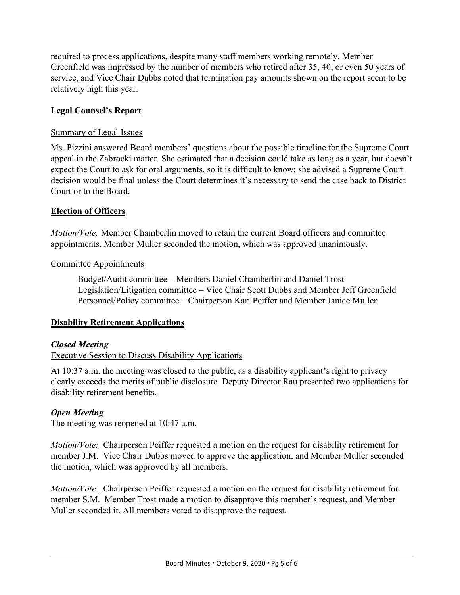required to process applications, despite many staff members working remotely. Member Greenfield was impressed by the number of members who retired after 35, 40, or even 50 years of service, and Vice Chair Dubbs noted that termination pay amounts shown on the report seem to be relatively high this year.

# **Legal Counsel's Report**

#### Summary of Legal Issues

Ms. Pizzini answered Board members' questions about the possible timeline for the Supreme Court appeal in the Zabrocki matter. She estimated that a decision could take as long as a year, but doesn't expect the Court to ask for oral arguments, so it is difficult to know; she advised a Supreme Court decision would be final unless the Court determines it's necessary to send the case back to District Court or to the Board.

## **Election of Officers**

*Motion/Vote:* Member Chamberlin moved to retain the current Board officers and committee appointments. Member Muller seconded the motion, which was approved unanimously.

#### Committee Appointments

Budget/Audit committee – Members Daniel Chamberlin and Daniel Trost Legislation/Litigation committee – Vice Chair Scott Dubbs and Member Jeff Greenfield Personnel/Policy committee – Chairperson Kari Peiffer and Member Janice Muller

## **Disability Retirement Applications**

## *Closed Meeting*

## Executive Session to Discuss Disability Applications

At 10:37 a.m. the meeting was closed to the public, as a disability applicant's right to privacy clearly exceeds the merits of public disclosure. Deputy Director Rau presented two applications for disability retirement benefits.

## *Open Meeting*

The meeting was reopened at 10:47 a.m.

*Motion/Vote:* Chairperson Peiffer requested a motion on the request for disability retirement for member J.M. Vice Chair Dubbs moved to approve the application, and Member Muller seconded the motion, which was approved by all members.

*Motion/Vote:* Chairperson Peiffer requested a motion on the request for disability retirement for member S.M. Member Trost made a motion to disapprove this member's request, and Member Muller seconded it. All members voted to disapprove the request.